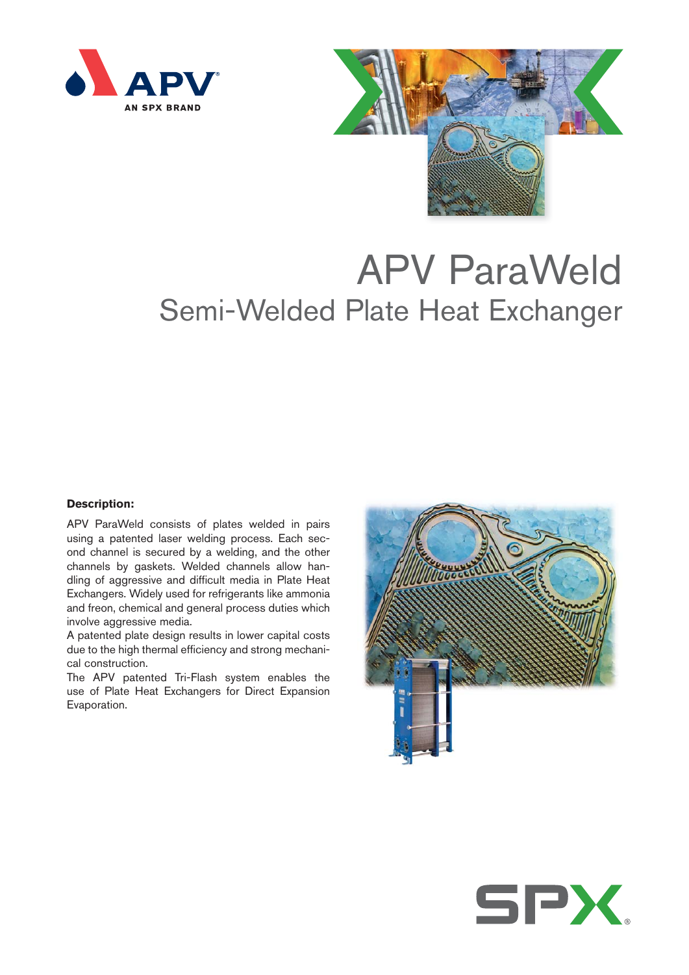



# APV ParaWeld Semi-Welded Plate Heat Exchanger

# **Description:**

APV ParaWeld consists of plates welded in pairs using a patented laser welding process. Each second channel is secured by a welding, and the other channels by gaskets. Welded channels allow handling of aggressive and difficult media in Plate Heat Exchangers. Widely used for refrigerants like ammonia and freon, chemical and general process duties which involve aggressive media.

A patented plate design results in lower capital costs due to the high thermal efficiency and strong mechanical construction.

The APV patented Tri-Flash system enables the use of Plate Heat Exchangers for Direct Expansion Evaporation.